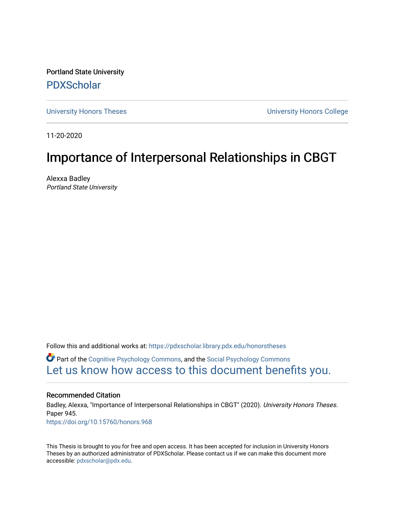Portland State University [PDXScholar](https://pdxscholar.library.pdx.edu/)

[University Honors Theses](https://pdxscholar.library.pdx.edu/honorstheses) [University Honors College](https://pdxscholar.library.pdx.edu/honors) 

11-20-2020

# Importance of Interpersonal Relationships in CBGT

Alexxa Badley Portland State University

Follow this and additional works at: [https://pdxscholar.library.pdx.edu/honorstheses](https://pdxscholar.library.pdx.edu/honorstheses?utm_source=pdxscholar.library.pdx.edu%2Fhonorstheses%2F945&utm_medium=PDF&utm_campaign=PDFCoverPages) 

**P** Part of the [Cognitive Psychology Commons,](http://network.bepress.com/hgg/discipline/408?utm_source=pdxscholar.library.pdx.edu%2Fhonorstheses%2F945&utm_medium=PDF&utm_campaign=PDFCoverPages) and the [Social Psychology Commons](http://network.bepress.com/hgg/discipline/414?utm_source=pdxscholar.library.pdx.edu%2Fhonorstheses%2F945&utm_medium=PDF&utm_campaign=PDFCoverPages) [Let us know how access to this document benefits you.](http://library.pdx.edu/services/pdxscholar-services/pdxscholar-feedback/) 

# Recommended Citation

Badley, Alexxa, "Importance of Interpersonal Relationships in CBGT" (2020). University Honors Theses. Paper 945. <https://doi.org/10.15760/honors.968>

This Thesis is brought to you for free and open access. It has been accepted for inclusion in University Honors Theses by an authorized administrator of PDXScholar. Please contact us if we can make this document more accessible: [pdxscholar@pdx.edu.](mailto:pdxscholar@pdx.edu)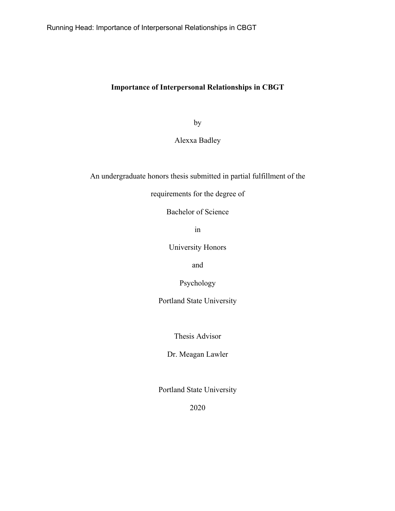by

Alexxa Badley

An undergraduate honors thesis submitted in partial fulfillment of the

requirements for the degree of

Bachelor of Science

in

University Honors

and

Psychology

Portland State University

Thesis Advisor

Dr. Meagan Lawler

Portland State University

2020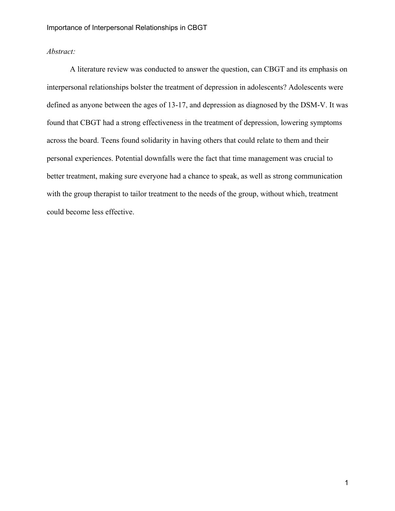# *Abstract:*

A literature review was conducted to answer the question, can CBGT and its emphasis on interpersonal relationships bolster the treatment of depression in adolescents? Adolescents were defined as anyone between the ages of 13-17, and depression as diagnosed by the DSM-V. It was found that CBGT had a strong effectiveness in the treatment of depression, lowering symptoms across the board. Teens found solidarity in having others that could relate to them and their personal experiences. Potential downfalls were the fact that time management was crucial to better treatment, making sure everyone had a chance to speak, as well as strong communication with the group therapist to tailor treatment to the needs of the group, without which, treatment could become less effective.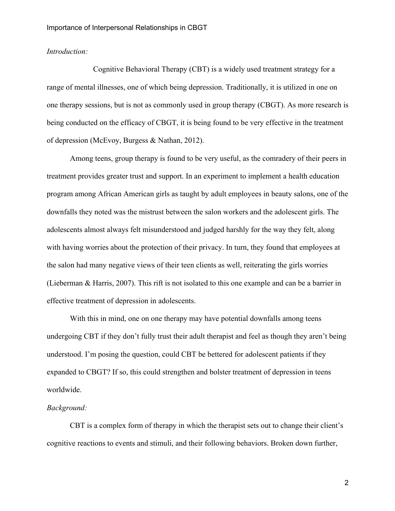# *Introduction:*

Cognitive Behavioral Therapy (CBT) is a widely used treatment strategy for a range of mental illnesses, one of which being depression. Traditionally, it is utilized in one on one therapy sessions, but is not as commonly used in group therapy (CBGT). As more research is being conducted on the efficacy of CBGT, it is being found to be very effective in the treatment of depression (McEvoy, Burgess & Nathan, 2012).

Among teens, group therapy is found to be very useful, as the comradery of their peers in treatment provides greater trust and support. In an experiment to implement a health education program among African American girls as taught by adult employees in beauty salons, one of the downfalls they noted was the mistrust between the salon workers and the adolescent girls. The adolescents almost always felt misunderstood and judged harshly for the way they felt, along with having worries about the protection of their privacy. In turn, they found that employees at the salon had many negative views of their teen clients as well, reiterating the girls worries (Lieberman & Harris, 2007). This rift is not isolated to this one example and can be a barrier in effective treatment of depression in adolescents.

With this in mind, one on one therapy may have potential downfalls among teens undergoing CBT if they don't fully trust their adult therapist and feel as though they aren't being understood. I'm posing the question, could CBT be bettered for adolescent patients if they expanded to CBGT? If so, this could strengthen and bolster treatment of depression in teens worldwide.

## *Background:*

CBT is a complex form of therapy in which the therapist sets out to change their client's cognitive reactions to events and stimuli, and their following behaviors. Broken down further,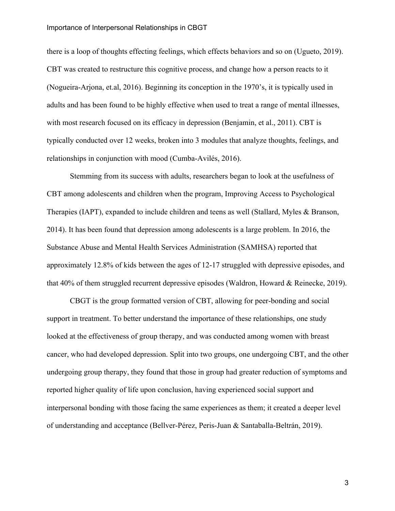there is a loop of thoughts effecting feelings, which effects behaviors and so on (Ugueto, 2019). CBT was created to restructure this cognitive process, and change how a person reacts to it (Nogueira-Arjona, et.al, 2016). Beginning its conception in the 1970's, it is typically used in adults and has been found to be highly effective when used to treat a range of mental illnesses, with most research focused on its efficacy in depression (Benjamin, et al., 2011). CBT is typically conducted over 12 weeks, broken into 3 modules that analyze thoughts, feelings, and relationships in conjunction with mood (Cumba-Avilés, 2016).

Stemming from its success with adults, researchers began to look at the usefulness of CBT among adolescents and children when the program, Improving Access to Psychological Therapies (IAPT), expanded to include children and teens as well (Stallard, Myles & Branson, 2014). It has been found that depression among adolescents is a large problem. In 2016, the Substance Abuse and Mental Health Services Administration (SAMHSA) reported that approximately 12.8% of kids between the ages of 12-17 struggled with depressive episodes, and that 40% of them struggled recurrent depressive episodes (Waldron, Howard & Reinecke, 2019).

CBGT is the group formatted version of CBT, allowing for peer-bonding and social support in treatment. To better understand the importance of these relationships, one study looked at the effectiveness of group therapy, and was conducted among women with breast cancer, who had developed depression. Split into two groups, one undergoing CBT, and the other undergoing group therapy, they found that those in group had greater reduction of symptoms and reported higher quality of life upon conclusion, having experienced social support and interpersonal bonding with those facing the same experiences as them; it created a deeper level of understanding and acceptance (Bellver-Pérez, Peris-Juan & Santaballa-Beltrán, 2019).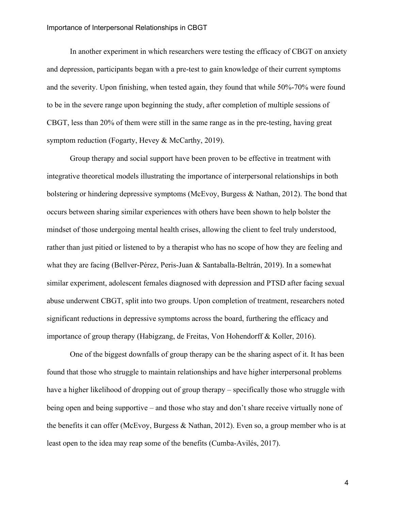In another experiment in which researchers were testing the efficacy of CBGT on anxiety and depression, participants began with a pre-test to gain knowledge of their current symptoms and the severity. Upon finishing, when tested again, they found that while 50%-70% were found to be in the severe range upon beginning the study, after completion of multiple sessions of CBGT, less than 20% of them were still in the same range as in the pre-testing, having great symptom reduction (Fogarty, Hevey & McCarthy, 2019).

Group therapy and social support have been proven to be effective in treatment with integrative theoretical models illustrating the importance of interpersonal relationships in both bolstering or hindering depressive symptoms (McEvoy, Burgess & Nathan, 2012). The bond that occurs between sharing similar experiences with others have been shown to help bolster the mindset of those undergoing mental health crises, allowing the client to feel truly understood, rather than just pitied or listened to by a therapist who has no scope of how they are feeling and what they are facing (Bellver-Pérez, Peris-Juan & Santaballa-Beltrán, 2019). In a somewhat similar experiment, adolescent females diagnosed with depression and PTSD after facing sexual abuse underwent CBGT, split into two groups. Upon completion of treatment, researchers noted significant reductions in depressive symptoms across the board, furthering the efficacy and importance of group therapy (Habigzang, de Freitas, Von Hohendorff & Koller, 2016).

One of the biggest downfalls of group therapy can be the sharing aspect of it. It has been found that those who struggle to maintain relationships and have higher interpersonal problems have a higher likelihood of dropping out of group therapy – specifically those who struggle with being open and being supportive – and those who stay and don't share receive virtually none of the benefits it can offer (McEvoy, Burgess & Nathan, 2012). Even so, a group member who is at least open to the idea may reap some of the benefits (Cumba-Avilés, 2017).

4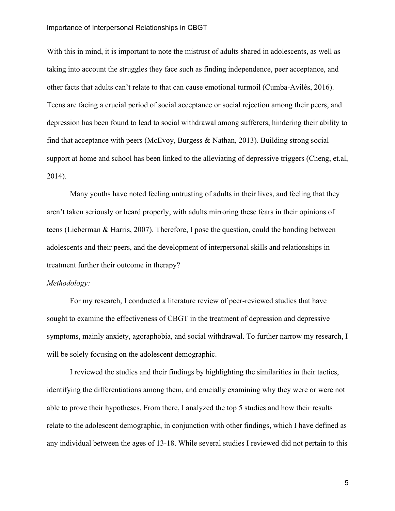With this in mind, it is important to note the mistrust of adults shared in adolescents, as well as taking into account the struggles they face such as finding independence, peer acceptance, and other facts that adults can't relate to that can cause emotional turmoil (Cumba-Avilés, 2016). Teens are facing a crucial period of social acceptance or social rejection among their peers, and depression has been found to lead to social withdrawal among sufferers, hindering their ability to find that acceptance with peers (McEvoy, Burgess & Nathan, 2013). Building strong social support at home and school has been linked to the alleviating of depressive triggers (Cheng, et.al, 2014).

Many youths have noted feeling untrusting of adults in their lives, and feeling that they aren't taken seriously or heard properly, with adults mirroring these fears in their opinions of teens (Lieberman & Harris, 2007). Therefore, I pose the question, could the bonding between adolescents and their peers, and the development of interpersonal skills and relationships in treatment further their outcome in therapy?

# *Methodology:*

For my research, I conducted a literature review of peer-reviewed studies that have sought to examine the effectiveness of CBGT in the treatment of depression and depressive symptoms, mainly anxiety, agoraphobia, and social withdrawal. To further narrow my research, I will be solely focusing on the adolescent demographic.

I reviewed the studies and their findings by highlighting the similarities in their tactics, identifying the differentiations among them, and crucially examining why they were or were not able to prove their hypotheses. From there, I analyzed the top 5 studies and how their results relate to the adolescent demographic, in conjunction with other findings, which I have defined as any individual between the ages of 13-18. While several studies I reviewed did not pertain to this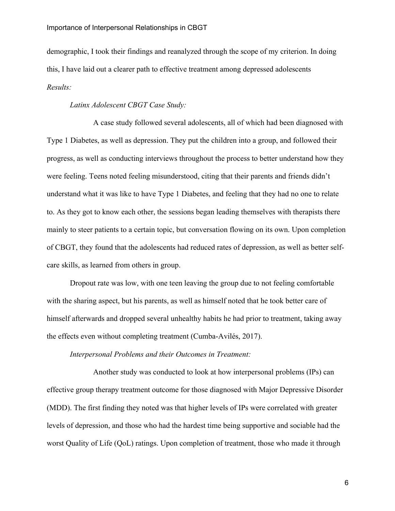demographic, I took their findings and reanalyzed through the scope of my criterion. In doing this, I have laid out a clearer path to effective treatment among depressed adolescents *Results:* 

# *Latinx Adolescent CBGT Case Study:*

A case study followed several adolescents, all of which had been diagnosed with Type 1 Diabetes, as well as depression. They put the children into a group, and followed their progress, as well as conducting interviews throughout the process to better understand how they were feeling. Teens noted feeling misunderstood, citing that their parents and friends didn't understand what it was like to have Type 1 Diabetes, and feeling that they had no one to relate to. As they got to know each other, the sessions began leading themselves with therapists there mainly to steer patients to a certain topic, but conversation flowing on its own. Upon completion of CBGT, they found that the adolescents had reduced rates of depression, as well as better selfcare skills, as learned from others in group.

Dropout rate was low, with one teen leaving the group due to not feeling comfortable with the sharing aspect, but his parents, as well as himself noted that he took better care of himself afterwards and dropped several unhealthy habits he had prior to treatment, taking away the effects even without completing treatment (Cumba-Avilés, 2017).

#### *Interpersonal Problems and their Outcomes in Treatment:*

Another study was conducted to look at how interpersonal problems (IPs) can effective group therapy treatment outcome for those diagnosed with Major Depressive Disorder (MDD). The first finding they noted was that higher levels of IPs were correlated with greater levels of depression, and those who had the hardest time being supportive and sociable had the worst Quality of Life (QoL) ratings. Upon completion of treatment, those who made it through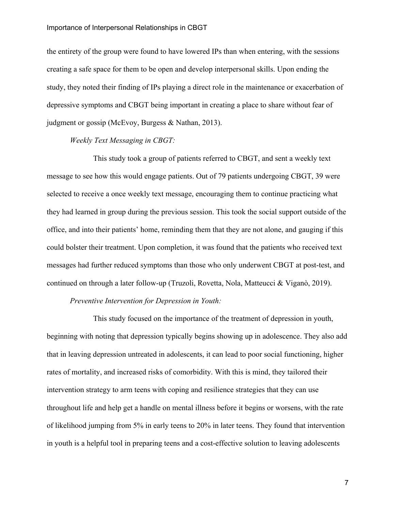the entirety of the group were found to have lowered IPs than when entering, with the sessions creating a safe space for them to be open and develop interpersonal skills. Upon ending the study, they noted their finding of IPs playing a direct role in the maintenance or exacerbation of depressive symptoms and CBGT being important in creating a place to share without fear of judgment or gossip (McEvoy, Burgess & Nathan, 2013).

## *Weekly Text Messaging in CBGT:*

This study took a group of patients referred to CBGT, and sent a weekly text message to see how this would engage patients. Out of 79 patients undergoing CBGT, 39 were selected to receive a once weekly text message, encouraging them to continue practicing what they had learned in group during the previous session. This took the social support outside of the office, and into their patients' home, reminding them that they are not alone, and gauging if this could bolster their treatment. Upon completion, it was found that the patients who received text messages had further reduced symptoms than those who only underwent CBGT at post-test, and continued on through a later follow-up (Truzoli, Rovetta, Nola, Matteucci & Viganò, 2019).

# *Preventive Intervention for Depression in Youth:*

This study focused on the importance of the treatment of depression in youth, beginning with noting that depression typically begins showing up in adolescence. They also add that in leaving depression untreated in adolescents, it can lead to poor social functioning, higher rates of mortality, and increased risks of comorbidity. With this is mind, they tailored their intervention strategy to arm teens with coping and resilience strategies that they can use throughout life and help get a handle on mental illness before it begins or worsens, with the rate of likelihood jumping from 5% in early teens to 20% in later teens. They found that intervention in youth is a helpful tool in preparing teens and a cost-effective solution to leaving adolescents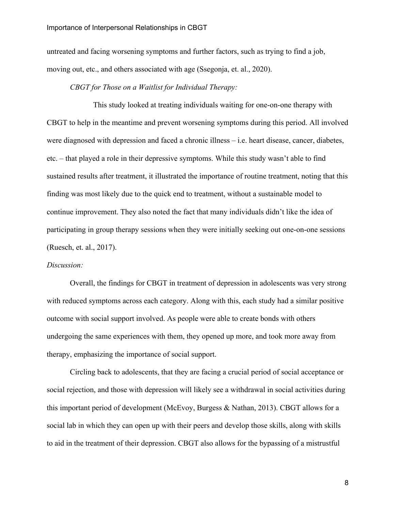untreated and facing worsening symptoms and further factors, such as trying to find a job, moving out, etc., and others associated with age (Ssegonja, et. al., 2020).

# *CBGT for Those on a Waitlist for Individual Therapy:*

This study looked at treating individuals waiting for one-on-one therapy with CBGT to help in the meantime and prevent worsening symptoms during this period. All involved were diagnosed with depression and faced a chronic illness – i.e. heart disease, cancer, diabetes, etc. – that played a role in their depressive symptoms. While this study wasn't able to find sustained results after treatment, it illustrated the importance of routine treatment, noting that this finding was most likely due to the quick end to treatment, without a sustainable model to continue improvement. They also noted the fact that many individuals didn't like the idea of participating in group therapy sessions when they were initially seeking out one-on-one sessions (Ruesch, et. al., 2017).

#### *Discussion:*

Overall, the findings for CBGT in treatment of depression in adolescents was very strong with reduced symptoms across each category. Along with this, each study had a similar positive outcome with social support involved. As people were able to create bonds with others undergoing the same experiences with them, they opened up more, and took more away from therapy, emphasizing the importance of social support.

Circling back to adolescents, that they are facing a crucial period of social acceptance or social rejection, and those with depression will likely see a withdrawal in social activities during this important period of development (McEvoy, Burgess & Nathan, 2013). CBGT allows for a social lab in which they can open up with their peers and develop those skills, along with skills to aid in the treatment of their depression. CBGT also allows for the bypassing of a mistrustful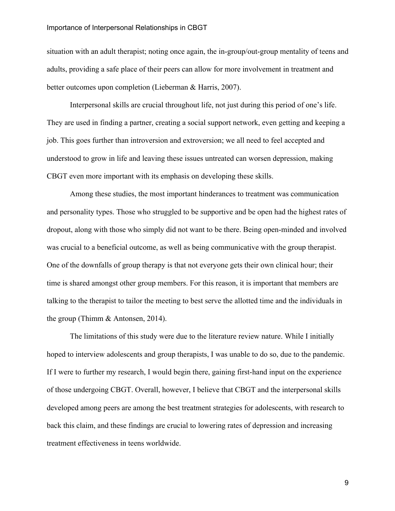situation with an adult therapist; noting once again, the in-group/out-group mentality of teens and adults, providing a safe place of their peers can allow for more involvement in treatment and better outcomes upon completion (Lieberman & Harris, 2007).

Interpersonal skills are crucial throughout life, not just during this period of one's life. They are used in finding a partner, creating a social support network, even getting and keeping a job. This goes further than introversion and extroversion; we all need to feel accepted and understood to grow in life and leaving these issues untreated can worsen depression, making CBGT even more important with its emphasis on developing these skills.

Among these studies, the most important hinderances to treatment was communication and personality types. Those who struggled to be supportive and be open had the highest rates of dropout, along with those who simply did not want to be there. Being open-minded and involved was crucial to a beneficial outcome, as well as being communicative with the group therapist. One of the downfalls of group therapy is that not everyone gets their own clinical hour; their time is shared amongst other group members. For this reason, it is important that members are talking to the therapist to tailor the meeting to best serve the allotted time and the individuals in the group (Thimm & Antonsen, 2014).

The limitations of this study were due to the literature review nature. While I initially hoped to interview adolescents and group therapists, I was unable to do so, due to the pandemic. If I were to further my research, I would begin there, gaining first-hand input on the experience of those undergoing CBGT. Overall, however, I believe that CBGT and the interpersonal skills developed among peers are among the best treatment strategies for adolescents, with research to back this claim, and these findings are crucial to lowering rates of depression and increasing treatment effectiveness in teens worldwide.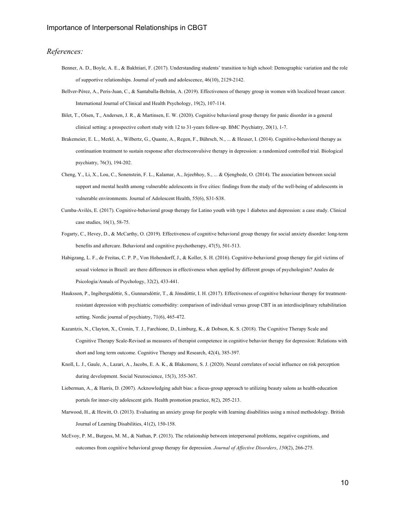#### *References:*

- Benner, A. D., Boyle, A. E., & Bakhtiari, F. (2017). Understanding students' transition to high school: Demographic variation and the role of supportive relationships. Journal of youth and adolescence, 46(10), 2129-2142.
- Bellver-Pérez, A., Peris-Juan, C., & Santaballa-Beltrán, A. (2019). Effectiveness of therapy group in women with localized breast cancer. International Journal of Clinical and Health Psychology, 19(2), 107-114.
- Bilet, T., Olsen, T., Andersen, J. R., & Martinsen, E. W. (2020). Cognitive behavioral group therapy for panic disorder in a general clinical setting: a prospective cohort study with 12 to 31-years follow-up. BMC Psychiatry, 20(1), 1-7.
- Brakemeier, E. L., Merkl, A., Wilbertz, G., Quante, A., Regen, F., Bührsch, N., ... & Heuser, I. (2014). Cognitive-behavioral therapy as continuation treatment to sustain response after electroconvulsive therapy in depression: a randomized controlled trial. Biological psychiatry, 76(3), 194-202.
- Cheng, Y., Li, X., Lou, C., Sonenstein, F. L., Kalamar, A., Jejeebhoy, S., ... & Ojengbede, O. (2014). The association between social support and mental health among vulnerable adolescents in five cities: findings from the study of the well-being of adolescents in vulnerable environments. Journal of Adolescent Health, 55(6), S31-S38.
- Cumba-Avilés, E. (2017). Cognitive-behavioral group therapy for Latino youth with type 1 diabetes and depression: a case study. Clinical case studies, 16(1), 58-75.
- Fogarty, C., Hevey, D., & McCarthy, O. (2019). Effectiveness of cognitive behavioral group therapy for social anxiety disorder: long-term benefits and aftercare. Behavioral and cognitive psychotherapy, 47(5), 501-513.
- Habigzang, L. F., de Freitas, C. P. P., Von Hohendorff, J., & Koller, S. H. (2016). Cognitive-behavioral group therapy for girl victims of sexual violence in Brazil: are there differences in effectiveness when applied by different groups of psychologists? Anales de Psicología/Annals of Psychology, 32(2), 433-441.
- Hauksson, P., Ingibergsdóttir, S., Gunnarsdóttir, T., & Jónsdóttir, I. H. (2017). Effectiveness of cognitive behaviour therapy for treatmentresistant depression with psychiatric comorbidity: comparison of individual versus group CBT in an interdisciplinary rehabilitation setting. Nordic journal of psychiatry, 71(6), 465-472.
- Kazantzis, N., Clayton, X., Cronin, T. J., Farchione, D., Limburg, K., & Dobson, K. S. (2018). The Cognitive Therapy Scale and Cognitive Therapy Scale-Revised as measures of therapist competence in cognitive behavior therapy for depression: Relations with short and long term outcome. Cognitive Therapy and Research, 42(4), 385-397.
- Knoll, L. J., Gaule, A., Lazari, A., Jacobs, E. A. K., & Blakemore, S. J. (2020). Neural correlates of social influence on risk perception during development. Social Neuroscience, 15(3), 355-367.
- Lieberman, A., & Harris, D. (2007). Acknowledging adult bias: a focus-group approach to utilizing beauty salons as health-education portals for inner-city adolescent girls. Health promotion practice, 8(2), 205-213.
- Marwood, H., & Hewitt, O. (2013). Evaluating an anxiety group for people with learning disabilities using a mixed methodology. British Journal of Learning Disabilities, 41(2), 150-158.
- McEvoy, P. M., Burgess, M. M., & Nathan, P. (2013). The relationship between interpersonal problems, negative cognitions, and outcomes from cognitive behavioral group therapy for depression. *Journal of Affective Disorders*, *150*(2), 266-275.